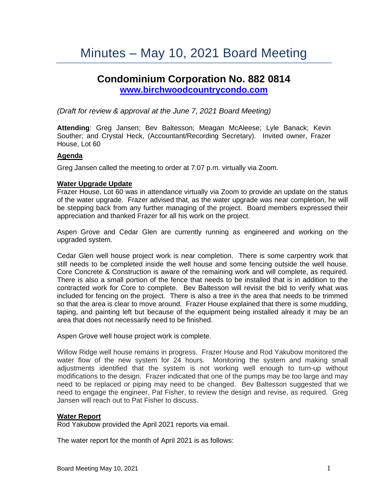# Minutes – May 10, 2021 Board Meeting

# **Condominium Corporation No. 882 0814 [www.birchwoodcountrycondo.com](http://www.birchwoodcountrycondo.com/)**

*(Draft for review & approval at the June 7, 2021 Board Meeting)*

**Attending**: Greg Jansen; Bev Baltesson; Meagan McAleese; Lyle Banack; Kevin Souther; and Crystal Heck, (Accountant/Recording Secretary). Invited owner, Frazer House, Lot 60

# **Agenda**

Greg Jansen called the meeting to order at 7:07 p.m. virtually via Zoom.

#### **Water Upgrade Update**

Frazer House, Lot 60 was in attendance virtually via Zoom to provide an update on the status of the water upgrade. Frazer advised that, as the water upgrade was near completion, he will be stepping back from any further managing of the project. Board members expressed their appreciation and thanked Frazer for all his work on the project.

Aspen Grove and Cedar Glen are currently running as engineered and working on the upgraded system.

Cedar Glen well house project work is near completion. There is some carpentry work that still needs to be completed inside the well house and some fencing outside the well house. Core Concrete & Construction is aware of the remaining work and will complete, as required. There is also a small portion of the fence that needs to be installed that is in addition to the contracted work for Core to complete. Bev Baltesson will revisit the bid to verify what was included for fencing on the project. There is also a tree in the area that needs to be trimmed so that the area is clear to move around. Frazer House explained that there is some mudding, taping, and painting left but because of the equipment being installed already it may be an area that does not necessarily need to be finished.

Aspen Grove well house project work is complete.

Willow Ridge well house remains in progress. Frazer House and Rod Yakubow monitored the water flow of the new system for 24 hours. Monitoring the system and making small adjustments identified that the system is not working well enough to turn-up without modifications to the design. Frazer indicated that one of the pumps may be too large and may need to be replaced or piping may need to be changed. Bev Baltesson suggested that we need to engage the engineer, Pat Fisher, to review the design and revise, as required. Greg Jansen will reach out to Pat Fisher to discuss.

#### **Water Report**

Rod Yakubow provided the April 2021 reports via email.

The water report for the month of April 2021 is as follows: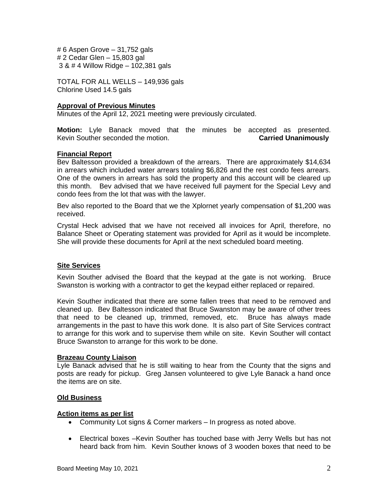# 6 Aspen Grove – 31,752 gals # 2 Cedar Glen – 15,803 gal 3 & # 4 Willow Ridge – 102,381 gals

TOTAL FOR ALL WELLS – 149,936 gals Chlorine Used 14.5 gals

# **Approval of Previous Minutes**

Minutes of the April 12, 2021 meeting were previously circulated.

**Motion:** Lyle Banack moved that the minutes be accepted as presented. Kevin Souther seconded the motion. **Carried Unanimously**

# **Financial Report**

Bev Baltesson provided a breakdown of the arrears. There are approximately \$14,634 in arrears which included water arrears totaling \$6,826 and the rest condo fees arrears. One of the owners in arrears has sold the property and this account will be cleared up this month. Bev advised that we have received full payment for the Special Levy and condo fees from the lot that was with the lawyer.

Bev also reported to the Board that we the Xplornet yearly compensation of \$1,200 was received.

Crystal Heck advised that we have not received all invoices for April, therefore, no Balance Sheet or Operating statement was provided for April as it would be incomplete. She will provide these documents for April at the next scheduled board meeting.

#### **Site Services**

Kevin Souther advised the Board that the keypad at the gate is not working. Bruce Swanston is working with a contractor to get the keypad either replaced or repaired.

Kevin Souther indicated that there are some fallen trees that need to be removed and cleaned up. Bev Baltesson indicated that Bruce Swanston may be aware of other trees that need to be cleaned up, trimmed, removed, etc. Bruce has always made arrangements in the past to have this work done. It is also part of Site Services contract to arrange for this work and to supervise them while on site. Kevin Souther will contact Bruce Swanston to arrange for this work to be done.

#### **Brazeau County Liaison**

Lyle Banack advised that he is still waiting to hear from the County that the signs and posts are ready for pickup. Greg Jansen volunteered to give Lyle Banack a hand once the items are on site.

# **Old Business**

#### **Action items as per list**

- Community Lot signs & Corner markers In progress as noted above.
- Electrical boxes –Kevin Souther has touched base with Jerry Wells but has not heard back from him. Kevin Souther knows of 3 wooden boxes that need to be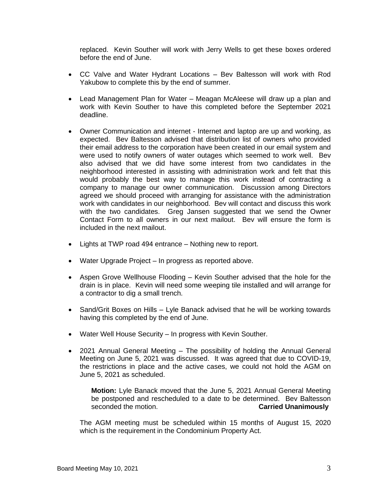replaced. Kevin Souther will work with Jerry Wells to get these boxes ordered before the end of June.

- CC Valve and Water Hydrant Locations Bev Baltesson will work with Rod Yakubow to complete this by the end of summer.
- Lead Management Plan for Water Meagan McAleese will draw up a plan and work with Kevin Souther to have this completed before the September 2021 deadline.
- Owner Communication and internet Internet and laptop are up and working, as expected. Bev Baltesson advised that distribution list of owners who provided their email address to the corporation have been created in our email system and were used to notify owners of water outages which seemed to work well. Bev also advised that we did have some interest from two candidates in the neighborhood interested in assisting with administration work and felt that this would probably the best way to manage this work instead of contracting a company to manage our owner communication. Discussion among Directors agreed we should proceed with arranging for assistance with the administration work with candidates in our neighborhood. Bev will contact and discuss this work with the two candidates. Greg Jansen suggested that we send the Owner Contact Form to all owners in our next mailout. Bev will ensure the form is included in the next mailout.
- Lights at TWP road 494 entrance Nothing new to report.
- Water Upgrade Project In progress as reported above.
- Aspen Grove Wellhouse Flooding Kevin Souther advised that the hole for the drain is in place. Kevin will need some weeping tile installed and will arrange for a contractor to dig a small trench.
- Sand/Grit Boxes on Hills Lyle Banack advised that he will be working towards having this completed by the end of June.
- Water Well House Security In progress with Kevin Souther.
- 2021 Annual General Meeting The possibility of holding the Annual General Meeting on June 5, 2021 was discussed. It was agreed that due to COVID-19, the restrictions in place and the active cases, we could not hold the AGM on June 5, 2021 as scheduled.

**Motion:** Lyle Banack moved that the June 5, 2021 Annual General Meeting be postponed and rescheduled to a date to be determined. Bev Baltesson seconded the motion. **Carried Unanimously**

The AGM meeting must be scheduled within 15 months of August 15, 2020 which is the requirement in the Condominium Property Act.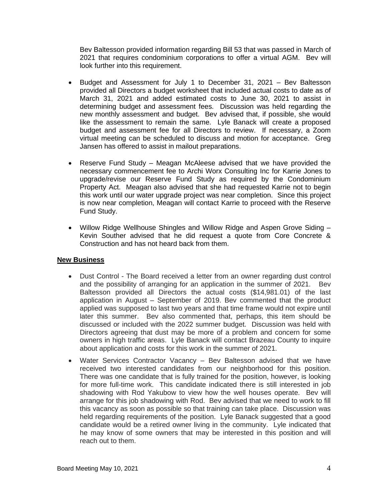Bev Baltesson provided information regarding Bill 53 that was passed in March of 2021 that requires condominium corporations to offer a virtual AGM. Bev will look further into this requirement.

- Budget and Assessment for July 1 to December 31, 2021 Bev Baltesson provided all Directors a budget worksheet that included actual costs to date as of March 31, 2021 and added estimated costs to June 30, 2021 to assist in determining budget and assessment fees. Discussion was held regarding the new monthly assessment and budget. Bev advised that, if possible, she would like the assessment to remain the same. Lyle Banack will create a proposed budget and assessment fee for all Directors to review. If necessary, a Zoom virtual meeting can be scheduled to discuss and motion for acceptance. Greg Jansen has offered to assist in mailout preparations.
- Reserve Fund Study Meagan McAleese advised that we have provided the necessary commencement fee to Archi Worx Consulting Inc for Karrie Jones to upgrade/revise our Reserve Fund Study as required by the Condominium Property Act. Meagan also advised that she had requested Karrie not to begin this work until our water upgrade project was near completion. Since this project is now near completion, Meagan will contact Karrie to proceed with the Reserve Fund Study.
- Willow Ridge Wellhouse Shingles and Willow Ridge and Aspen Grove Siding Kevin Souther advised that he did request a quote from Core Concrete & Construction and has not heard back from them.

# **New Business**

- Dust Control The Board received a letter from an owner regarding dust control and the possibility of arranging for an application in the summer of 2021. Bev Baltesson provided all Directors the actual costs (\$14,981.01) of the last application in August – September of 2019. Bev commented that the product applied was supposed to last two years and that time frame would not expire until later this summer. Bev also commented that, perhaps, this item should be discussed or included with the 2022 summer budget. Discussion was held with Directors agreeing that dust may be more of a problem and concern for some owners in high traffic areas. Lyle Banack will contact Brazeau County to inquire about application and costs for this work in the summer of 2021.
- Water Services Contractor Vacancy Bev Baltesson advised that we have received two interested candidates from our neighborhood for this position. There was one candidate that is fully trained for the position, however, is looking for more full-time work. This candidate indicated there is still interested in job shadowing with Rod Yakubow to view how the well houses operate. Bev will arrange for this job shadowing with Rod. Bev advised that we need to work to fill this vacancy as soon as possible so that training can take place. Discussion was held regarding requirements of the position. Lyle Banack suggested that a good candidate would be a retired owner living in the community. Lyle indicated that he may know of some owners that may be interested in this position and will reach out to them.